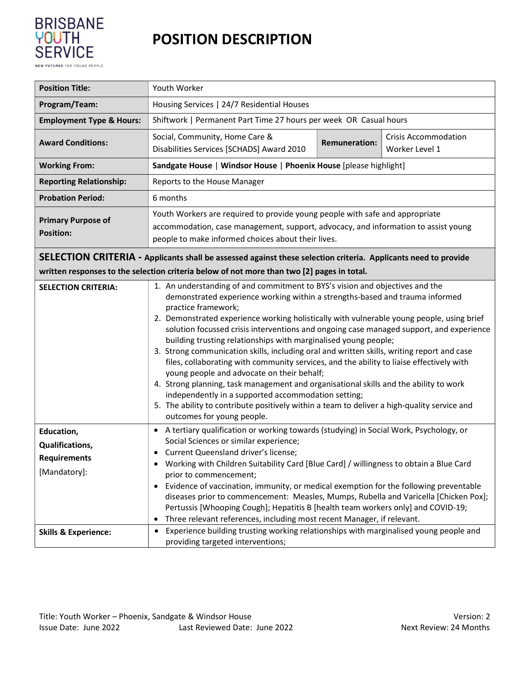

## POSITION DESCRIPTION

| <b>Position Title:</b>                                                                                                                                                                                              | Youth Worker                                                                                                                                                                                                                                                                                                                                                                                                                                                                                                                                                                                                                                                                                                                                                                                                                                                                                                                                                        |  |  |  |  |  |
|---------------------------------------------------------------------------------------------------------------------------------------------------------------------------------------------------------------------|---------------------------------------------------------------------------------------------------------------------------------------------------------------------------------------------------------------------------------------------------------------------------------------------------------------------------------------------------------------------------------------------------------------------------------------------------------------------------------------------------------------------------------------------------------------------------------------------------------------------------------------------------------------------------------------------------------------------------------------------------------------------------------------------------------------------------------------------------------------------------------------------------------------------------------------------------------------------|--|--|--|--|--|
| Program/Team:                                                                                                                                                                                                       | Housing Services   24/7 Residential Houses                                                                                                                                                                                                                                                                                                                                                                                                                                                                                                                                                                                                                                                                                                                                                                                                                                                                                                                          |  |  |  |  |  |
| <b>Employment Type &amp; Hours:</b>                                                                                                                                                                                 | Shiftwork   Permanent Part Time 27 hours per week OR Casual hours                                                                                                                                                                                                                                                                                                                                                                                                                                                                                                                                                                                                                                                                                                                                                                                                                                                                                                   |  |  |  |  |  |
| <b>Award Conditions:</b>                                                                                                                                                                                            | Social, Community, Home Care &<br><b>Crisis Accommodation</b><br><b>Remuneration:</b><br>Disabilities Services [SCHADS] Award 2010<br>Worker Level 1                                                                                                                                                                                                                                                                                                                                                                                                                                                                                                                                                                                                                                                                                                                                                                                                                |  |  |  |  |  |
| <b>Working From:</b>                                                                                                                                                                                                | Sandgate House   Windsor House   Phoenix House [please highlight]                                                                                                                                                                                                                                                                                                                                                                                                                                                                                                                                                                                                                                                                                                                                                                                                                                                                                                   |  |  |  |  |  |
| <b>Reporting Relationship:</b>                                                                                                                                                                                      | Reports to the House Manager                                                                                                                                                                                                                                                                                                                                                                                                                                                                                                                                                                                                                                                                                                                                                                                                                                                                                                                                        |  |  |  |  |  |
| <b>Probation Period:</b>                                                                                                                                                                                            | 6 months                                                                                                                                                                                                                                                                                                                                                                                                                                                                                                                                                                                                                                                                                                                                                                                                                                                                                                                                                            |  |  |  |  |  |
| <b>Primary Purpose of</b><br><b>Position:</b>                                                                                                                                                                       | Youth Workers are required to provide young people with safe and appropriate<br>accommodation, case management, support, advocacy, and information to assist young<br>people to make informed choices about their lives.                                                                                                                                                                                                                                                                                                                                                                                                                                                                                                                                                                                                                                                                                                                                            |  |  |  |  |  |
| <b>SELECTION CRITERIA</b> - Applicants shall be assessed against these selection criteria. Applicants need to provide<br>written responses to the selection criteria below of not more than two [2] pages in total. |                                                                                                                                                                                                                                                                                                                                                                                                                                                                                                                                                                                                                                                                                                                                                                                                                                                                                                                                                                     |  |  |  |  |  |
| <b>SELECTION CRITERIA:</b>                                                                                                                                                                                          | 1. An understanding of and commitment to BYS's vision and objectives and the<br>demonstrated experience working within a strengths-based and trauma informed<br>practice framework;<br>2. Demonstrated experience working holistically with vulnerable young people, using brief<br>solution focussed crisis interventions and ongoing case managed support, and experience<br>building trusting relationships with marginalised young people;<br>3. Strong communication skills, including oral and written skills, writing report and case<br>files, collaborating with community services, and the ability to liaise effectively with<br>young people and advocate on their behalf;<br>4. Strong planning, task management and organisational skills and the ability to work<br>independently in a supported accommodation setting;<br>5. The ability to contribute positively within a team to deliver a high-quality service and<br>outcomes for young people. |  |  |  |  |  |
| Education,<br><b>Qualifications,</b><br><b>Requirements</b><br>[Mandatory]:                                                                                                                                         | A tertiary qualification or working towards (studying) in Social Work, Psychology, or<br>$\bullet$<br>Social Sciences or similar experience;<br>Current Queensland driver's license;<br>Working with Children Suitability Card [Blue Card] / willingness to obtain a Blue Card<br>prior to commencement;<br>Evidence of vaccination, immunity, or medical exemption for the following preventable<br>$\bullet$<br>diseases prior to commencement: Measles, Mumps, Rubella and Varicella [Chicken Pox];<br>Pertussis [Whooping Cough]; Hepatitis B [health team workers only] and COVID-19;<br>Three relevant references, including most recent Manager, if relevant.<br>$\bullet$                                                                                                                                                                                                                                                                                   |  |  |  |  |  |
| <b>Skills &amp; Experience:</b>                                                                                                                                                                                     | • Experience building trusting working relationships with marginalised young people and<br>providing targeted interventions;                                                                                                                                                                                                                                                                                                                                                                                                                                                                                                                                                                                                                                                                                                                                                                                                                                        |  |  |  |  |  |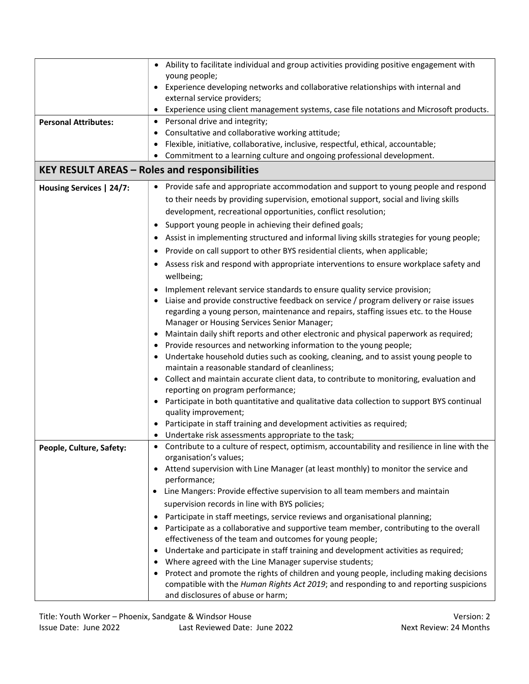|                                                      | Ability to facilitate individual and group activities providing positive engagement with                                                            |  |  |  |  |  |  |
|------------------------------------------------------|-----------------------------------------------------------------------------------------------------------------------------------------------------|--|--|--|--|--|--|
|                                                      | young people;                                                                                                                                       |  |  |  |  |  |  |
|                                                      | Experience developing networks and collaborative relationships with internal and                                                                    |  |  |  |  |  |  |
|                                                      | external service providers;                                                                                                                         |  |  |  |  |  |  |
|                                                      | Experience using client management systems, case file notations and Microsoft products.                                                             |  |  |  |  |  |  |
| <b>Personal Attributes:</b>                          | Personal drive and integrity;<br>٠<br>٠                                                                                                             |  |  |  |  |  |  |
|                                                      | Consultative and collaborative working attitude;<br>Flexible, initiative, collaborative, inclusive, respectful, ethical, accountable;               |  |  |  |  |  |  |
|                                                      | ٠<br>Commitment to a learning culture and ongoing professional development.                                                                         |  |  |  |  |  |  |
| <b>KEY RESULT AREAS - Roles and responsibilities</b> |                                                                                                                                                     |  |  |  |  |  |  |
|                                                      |                                                                                                                                                     |  |  |  |  |  |  |
| Housing Services   24/7:                             | Provide safe and appropriate accommodation and support to young people and respond                                                                  |  |  |  |  |  |  |
|                                                      | to their needs by providing supervision, emotional support, social and living skills                                                                |  |  |  |  |  |  |
|                                                      | development, recreational opportunities, conflict resolution;                                                                                       |  |  |  |  |  |  |
|                                                      | Support young people in achieving their defined goals;                                                                                              |  |  |  |  |  |  |
|                                                      | • Assist in implementing structured and informal living skills strategies for young people;                                                         |  |  |  |  |  |  |
|                                                      | Provide on call support to other BYS residential clients, when applicable;                                                                          |  |  |  |  |  |  |
|                                                      | Assess risk and respond with appropriate interventions to ensure workplace safety and                                                               |  |  |  |  |  |  |
|                                                      | wellbeing;                                                                                                                                          |  |  |  |  |  |  |
|                                                      | Implement relevant service standards to ensure quality service provision;                                                                           |  |  |  |  |  |  |
|                                                      | Liaise and provide constructive feedback on service / program delivery or raise issues                                                              |  |  |  |  |  |  |
|                                                      | regarding a young person, maintenance and repairs, staffing issues etc. to the House                                                                |  |  |  |  |  |  |
|                                                      | Manager or Housing Services Senior Manager;                                                                                                         |  |  |  |  |  |  |
|                                                      | Maintain daily shift reports and other electronic and physical paperwork as required;                                                               |  |  |  |  |  |  |
|                                                      | Provide resources and networking information to the young people;                                                                                   |  |  |  |  |  |  |
|                                                      | Undertake household duties such as cooking, cleaning, and to assist young people to<br>maintain a reasonable standard of cleanliness;               |  |  |  |  |  |  |
|                                                      | • Collect and maintain accurate client data, to contribute to monitoring, evaluation and                                                            |  |  |  |  |  |  |
|                                                      | reporting on program performance;                                                                                                                   |  |  |  |  |  |  |
|                                                      | Participate in both quantitative and qualitative data collection to support BYS continual                                                           |  |  |  |  |  |  |
|                                                      | quality improvement;                                                                                                                                |  |  |  |  |  |  |
|                                                      | Participate in staff training and development activities as required;                                                                               |  |  |  |  |  |  |
|                                                      | Undertake risk assessments appropriate to the task;<br>Contribute to a culture of respect, optimism, accountability and resilience in line with the |  |  |  |  |  |  |
| People, Culture, Safety:                             | organisation's values;                                                                                                                              |  |  |  |  |  |  |
|                                                      | Attend supervision with Line Manager (at least monthly) to monitor the service and                                                                  |  |  |  |  |  |  |
|                                                      | performance;                                                                                                                                        |  |  |  |  |  |  |
|                                                      | Line Mangers: Provide effective supervision to all team members and maintain<br>٠                                                                   |  |  |  |  |  |  |
|                                                      | supervision records in line with BYS policies;                                                                                                      |  |  |  |  |  |  |
|                                                      | Participate in staff meetings, service reviews and organisational planning;                                                                         |  |  |  |  |  |  |
|                                                      | Participate as a collaborative and supportive team member, contributing to the overall                                                              |  |  |  |  |  |  |
|                                                      | effectiveness of the team and outcomes for young people;                                                                                            |  |  |  |  |  |  |
|                                                      | Undertake and participate in staff training and development activities as required;                                                                 |  |  |  |  |  |  |
|                                                      | Where agreed with the Line Manager supervise students;                                                                                              |  |  |  |  |  |  |
|                                                      | Protect and promote the rights of children and young people, including making decisions<br>٠                                                        |  |  |  |  |  |  |
|                                                      | compatible with the Human Rights Act 2019; and responding to and reporting suspicions                                                               |  |  |  |  |  |  |
|                                                      | and disclosures of abuse or harm;                                                                                                                   |  |  |  |  |  |  |